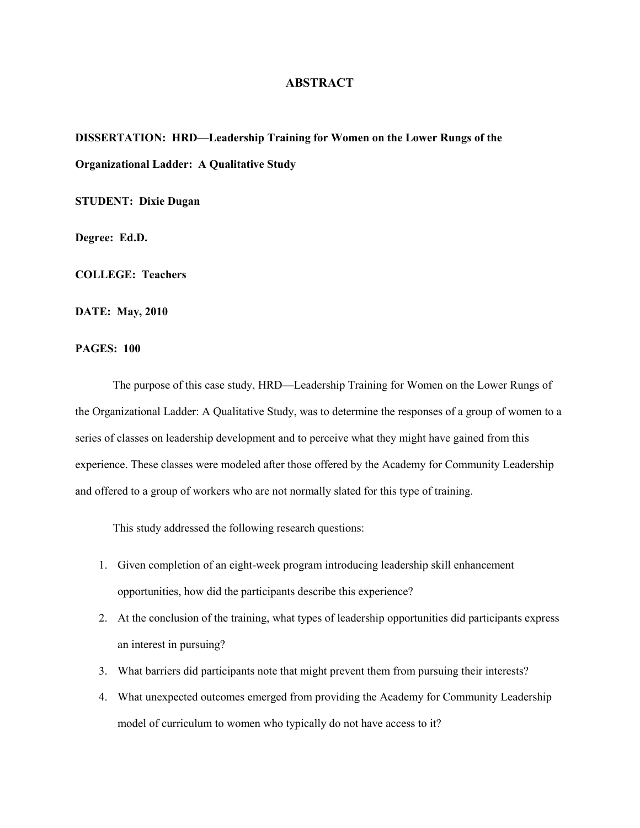## **ABSTRACT**

## **DISSERTATION: HRD—Leadership Training for Women on the Lower Rungs of the Organizational Ladder: A Qualitative Study**

**STUDENT: Dixie Dugan**

**Degree: Ed.D.**

**COLLEGE: Teachers**

**DATE: May, 2010**

## **PAGES: 100**

The purpose of this case study, HRD—Leadership Training for Women on the Lower Rungs of the Organizational Ladder: A Qualitative Study, was to determine the responses of a group of women to a series of classes on leadership development and to perceive what they might have gained from this experience. These classes were modeled after those offered by the Academy for Community Leadership and offered to a group of workers who are not normally slated for this type of training.

This study addressed the following research questions:

- 1. Given completion of an eight-week program introducing leadership skill enhancement opportunities, how did the participants describe this experience?
- 2. At the conclusion of the training, what types of leadership opportunities did participants express an interest in pursuing?
- 3. What barriers did participants note that might prevent them from pursuing their interests?
- 4. What unexpected outcomes emerged from providing the Academy for Community Leadership model of curriculum to women who typically do not have access to it?